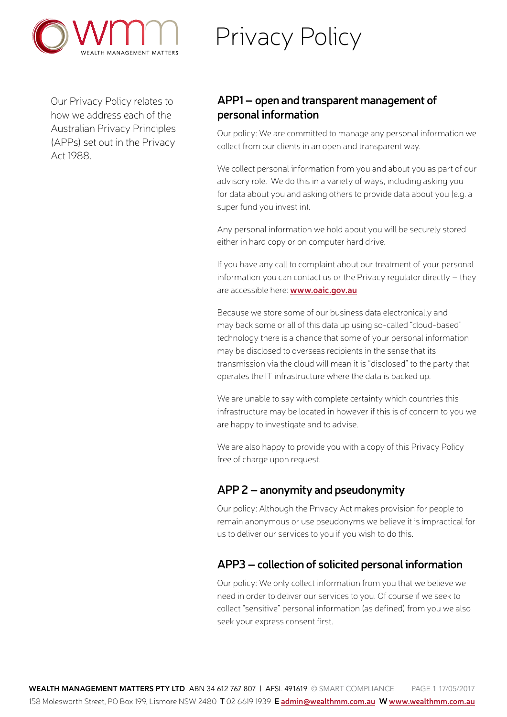

# Privacy Policy

Our Privacy Policy relates to how we address each of the Australian Privacy Principles (APPs) set out in the Privacy Act 1988.

# **APP1 – open and transparent management of personal information**

Our policy: We are committed to manage any personal information we collect from our clients in an open and transparent way.

We collect personal information from you and about you as part of our advisory role. We do this in a variety of ways, including asking you for data about you and asking others to provide data about you (e.g. a super fund you invest in).

Any personal information we hold about you will be securely stored either in hard copy or on computer hard drive.

If you have any call to complaint about our treatment of your personal information you can contact us or the Privacy regulator directly – they are accessible here: **[www.oaic.gov.au](http://)**

Because we store some of our business data electronically and may back some or all of this data up using so-called "cloud-based" technology there is a chance that some of your personal information may be disclosed to overseas recipients in the sense that its transmission via the cloud will mean it is "disclosed" to the party that operates the IT infrastructure where the data is backed up.

We are unable to say with complete certainty which countries this infrastructure may be located in however if this is of concern to you we are happy to investigate and to advise.

We are also happy to provide you with a copy of this Privacy Policy free of charge upon request.

# **APP 2 – anonymity and pseudonymity**

Our policy: Although the Privacy Act makes provision for people to remain anonymous or use pseudonyms we believe it is impractical for us to deliver our services to you if you wish to do this.

# **APP3 – collection of solicited personal information**

Our policy: We only collect information from you that we believe we need in order to deliver our services to you. Of course if we seek to collect "sensitive" personal information (as defined) from you we also seek your express consent first.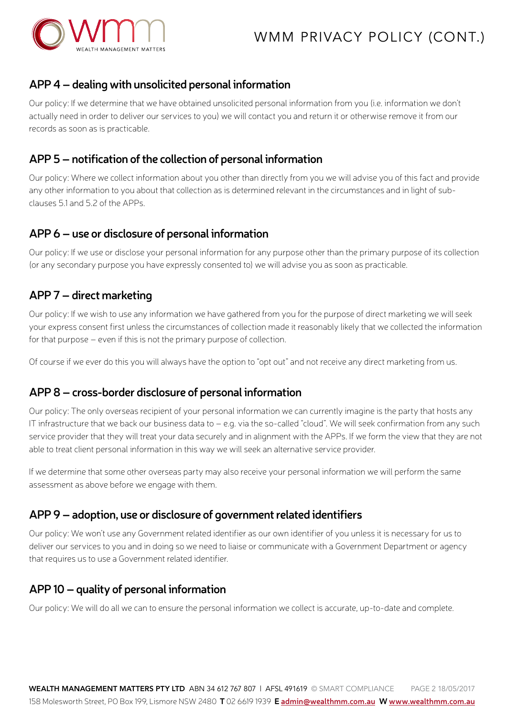

#### **APP 4 – dealing with unsolicited personal information**

Our policy: If we determine that we have obtained unsolicited personal information from you (i.e. information we don't actually need in order to deliver our services to you) we will contact you and return it or otherwise remove it from our records as soon as is practicable.

#### **APP 5 – notification of the collection of personal information**

Our policy: Where we collect information about you other than directly from you we will advise you of this fact and provide any other information to you about that collection as is determined relevant in the circumstances and in light of subclauses 5.1 and 5.2 of the APPs.

#### **APP 6 – use or disclosure of personal information**

Our policy: If we use or disclose your personal information for any purpose other than the primary purpose of its collection (or any secondary purpose you have expressly consented to) we will advise you as soon as practicable.

#### **APP 7 – direct marketing**

Our policy: If we wish to use any information we have gathered from you for the purpose of direct marketing we will seek your express consent first unless the circumstances of collection made it reasonably likely that we collected the information for that purpose – even if this is not the primary purpose of collection.

Of course if we ever do this you will always have the option to "opt out" and not receive any direct marketing from us.

#### **APP 8 – cross-border disclosure of personal information**

Our policy: The only overseas recipient of your personal information we can currently imagine is the party that hosts any IT infrastructure that we back our business data to – e.g. via the so-called "cloud". We will seek confirmation from any such service provider that they will treat your data securely and in alignment with the APPs. If we form the view that they are not able to treat client personal information in this way we will seek an alternative service provider.

If we determine that some other overseas party may also receive your personal information we will perform the same assessment as above before we engage with them.

#### **APP 9 – adoption, use or disclosure of government related identifiers**

Our policy: We won't use any Government related identifier as our own identifier of you unless it is necessary for us to deliver our services to you and in doing so we need to liaise or communicate with a Government Department or agency that requires us to use a Government related identifier.

# **APP 10 – quality of personal information**

Our policy: We will do all we can to ensure the personal information we collect is accurate, up-to-date and complete.